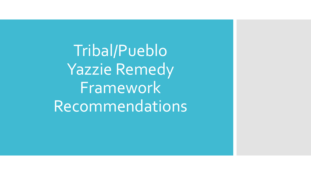Tribal/Pueblo Yazzie Remedy Framework Recommendations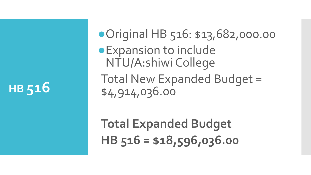●Original HB 516: \$13,682,000.00 ●Expansion to include NTU/A:shiwi College Total New Expanded Budget = \$4,914,036.00

**Total Expanded Budget HB 516 = \$18,596,036.00**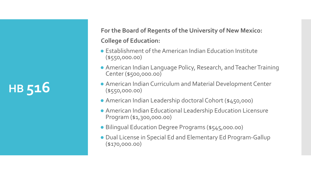**For the Board of Regents of the University of New Mexico: College of Education:**

- Establishment of the American Indian Education Institute (\$550,000.00)
- American Indian Language Policy, Research, and Teacher Training Center (\$500,000.00)
- American Indian Curriculum and Material Development Center (\$550,000.00)
- American Indian Leadership doctoral Cohort (\$450,000)
- American Indian Educational Leadership Education Licensure Program (\$1,300,000.00)
- Bilingual Education Degree Programs (\$545,000.00)
- Dual License in Special Ed and Elementary Ed Program-Gallup (\$170,000.00)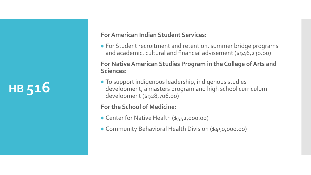#### **For American Indian Student Services:**

● For Student recruitment and retention, summer bridge programs and academic, cultural and financial advisement (\$946,230.00)

**For Native American Studies Program in the College of Arts and Sciences:**

● To support indigenous leadership, indigenous studies development, a masters program and high school curriculum development (\$928,706.00)

#### **For the School of Medicine:**

- Center for Native Health (\$552,000.00)
- Community Behavioral Health Division (\$450,000.00)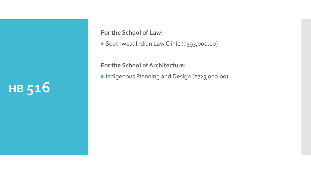**For the School of Law:**

● Southwest Indian Law Clinic (\$393,000.00)

**For the School of Architecture:**

● Indigenous Planning and Design (\$725,000.00)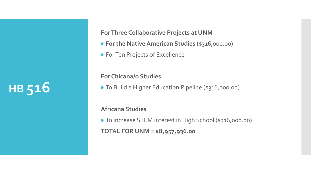**For Three Collaborative Projects at UNM**

- **● For the Native American Studies** (\$316,000.00)
- For Ten Projects of Excellence

**For Chicana/o Studies**

● To Build a Higher Education Pipeline (\$316,000.00)

**Africana Studies**

● To increase STEM interest in High School (\$316,000.00) **TOTAL FOR UNM = \$8,957,936.00**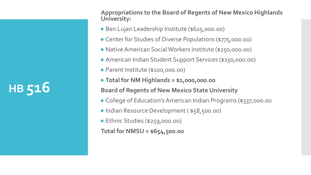**Appropriations to the Board of Regents of New Mexico Highlands University:**

- Ben Lujan Leadership Institute (\$625,000.00)
- Center for Studies of Diverse Populations (\$775,000.00)
- Native American Social Workers Institute (\$250,000.00)
- American Indian Student Support Services (\$250,000.00)
- Parent Institute (\$100,000.00)
- **● Total for NM Highlands = \$2,000,000.00**

**Board of Regents of New Mexico State University** 

- College of Education's American Indian Programs (\$337,000.00
- Indian Resource Development ( \$58,500.00)
- Ethnic Studies (\$259,000.00)

**Total for NMSU = \$654,500.00**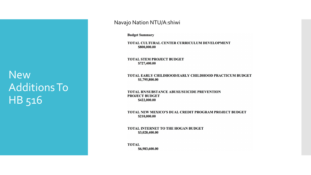New Additions To HB 516

#### Navajo Nation NTU/A:shiwi

**Budget Summary** 

TOTAL CULTURAL CENTER CURRICULUM DEVELOPMENT \$800,000.00

**TOTAL STEM PROJECT BUDGET** \$727,400.00

#### TOTAL EARLY CHILDHOOD/EARLY CHILDHOOD PRACTICUM BUDGET \$1,795,800.00

**TOTAL RN/SUBSTANCE ABUSE/SUICIDE PREVENTION PROJECT BUDGET** \$422,000.00

TOTAL NEW MEXICO'S DUAL CREDIT PROGRAM PROJECT BUDGET \$210,000.00

TOTAL INTERNET TO THE HOGAN BUDGET \$3,028,400.00

**TOTAL** \$6,983,600.00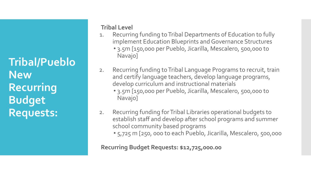**Tribal/Pueblo New Recurring Budget Requests:**

### **Tribal Level**

- 1. Recurring funding to Tribal Departments of Education to fully implement Education Blueprints and Governance Structures • 3.5m [150,000 per Pueblo, Jicarilla, Mescalero, 500,000 to Navajo]
- 2. Recurring funding to Tribal Language Programs to recruit, train and certify language teachers, develop language programs, develop curriculum and instructional materials
	- 3.5m [150,000 per Pueblo, Jicarilla, Mescalero, 500,000 to Navajo]
- 2. Recurring funding for Tribal Libraries operational budgets to establish staff and develop after school programs and summer school community based programs
	- 5,725 m [250, 000 to each Pueblo, Jicarilla, Mescalero, 500,000

**Recurring Budget Requests: \$12,725,000.00**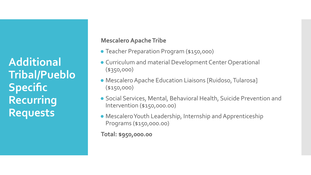**Additional Tribal/Pueblo Specific Recurring Requests**

### **Mescalero Apache Tribe**

- Teacher Preparation Program (\$150,000)
- Curriculum and material Development Center Operational (\$350,000)
- Mescalero Apache Education Liaisons [Ruidoso, Tularosa] (\$150,000)
- Social Services, Mental, Behavioral Health, Suicide Prevention and Intervention (\$150,000.00)
- Mescalero Youth Leadership, Internship and Apprenticeship Programs (\$150,000.00)

**Total: \$950,000.00**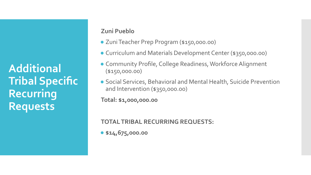**Additional Tribal Specific Recurring Requests**

#### **Zuni Pueblo**

- Zuni Teacher Prep Program (\$150,000.00)
- Curriculum and Materials Development Center (\$350,000.00)
- Community Profile, College Readiness, Workforce Alignment (\$150,000.00)
- Social Services, Behavioral and Mental Health, Suicide Prevention and Intervention (\$350,000.00)

**Total: \$1,000,000.00**

**TOTAL TRIBAL RECURRING REQUESTS:** 

**● \$14,675,000.00**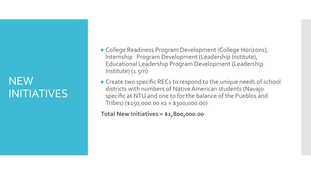### NEW INITIATIVES

- College Readiness Program Development (College Horizons), Internship Program Development (Leadership Institute), Educational Leadership Program Development (Leadership  $Institute)$   $(1.5m)$
- Create two specific RECs to respond to the unique needs of school districts with numbers of Native American students (Navajo specific at NTU and one to for the balance of the Pueblos and Tribes) (\$150,000.00 x2 = \$300,000.00)

**Total New Initiatives = \$1,800,000.00**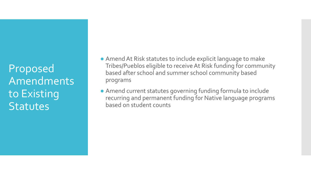Proposed Amendments to Existing **Statutes** 

- Amend At Risk statutes to include explicit language to make Tribes/Pueblos eligible to receive At Risk funding for community based after school and summer school community based programs
- Amend current statutes governing funding formula to include recurring and permanent funding for Native language programs based on student counts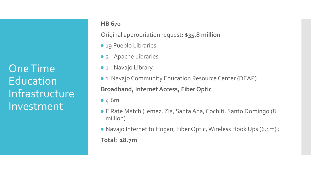One Time **Education** Infrastructure Investment

### **HB 670**

Original appropriation request: **\$35.8 million**

- 19 Pueblo Libraries
- 2 Apache Libraries
- 1 Navajo Library
- 1 Navajo Community Education Resource Center (DEAP) **Broadband, Internet Access, Fiber Optic**
- 4.6m
- E Rate Match (Jemez, Zia, Santa Ana, Cochiti, Santo Domingo (8 million)
- Navajo Internet to Hogan, Fiber Optic, Wireless Hook Ups (6.1m) :

**Total: 18.7m**